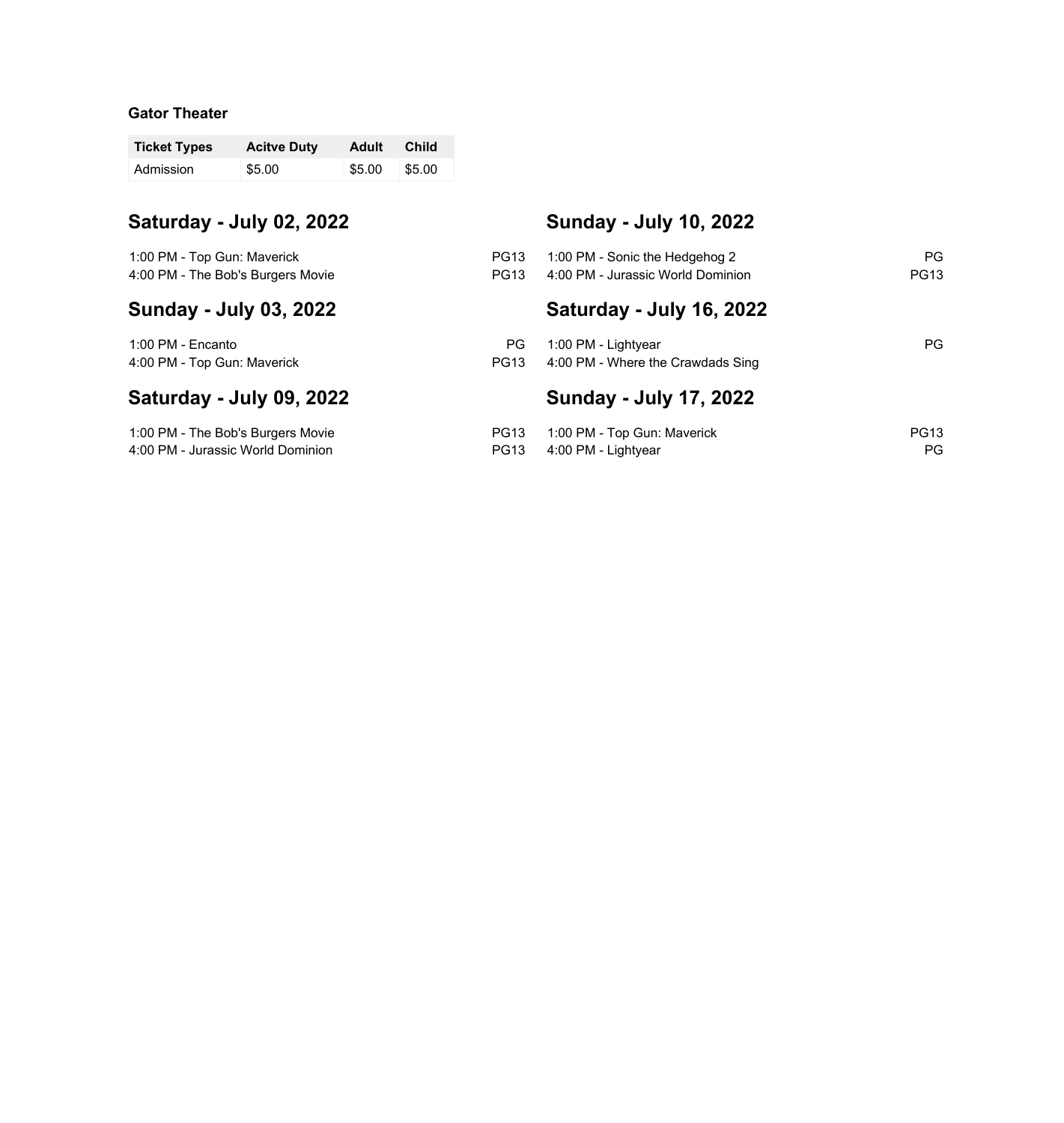# **Gator Theater**

| <b>Ticket Types</b> | <b>Acitve Duty</b> | Adult  | <b>Child</b>  |
|---------------------|--------------------|--------|---------------|
| Admission           | \$5.00             | \$5.00 | <b>\$5.00</b> |

4:00 PM - Jurassic World Dominion

| Saturday - July 02, 2022                                         |                            | <b>Sunday - July 10, 2022</b>                                       |                   |
|------------------------------------------------------------------|----------------------------|---------------------------------------------------------------------|-------------------|
| 1:00 PM - Top Gun: Maverick<br>4:00 PM - The Bob's Burgers Movie | <b>PG13</b><br><b>PG13</b> | 1:00 PM - Sonic the Hedgehog 2<br>4:00 PM - Jurassic World Dominion | PG<br><b>PG13</b> |
| <b>Sunday - July 03, 2022</b>                                    |                            | Saturday - July 16, 2022                                            |                   |
| 1:00 PM - Encanto<br>4:00 PM - Top Gun: Maverick                 | PG.<br>PG <sub>13</sub>    | 1:00 PM - Lightyear<br>4:00 PM - Where the Crawdads Sing            | PG.               |
| Saturday - July 09, 2022                                         |                            | <b>Sunday - July 17, 2022</b>                                       |                   |
| 1:00 PM - The Bob's Burgers Movie                                | <b>PG13</b>                | 1:00 PM - Top Gun: Maverick                                         | <b>PG13</b>       |

PG13 4:00 PM - Lightyear PG